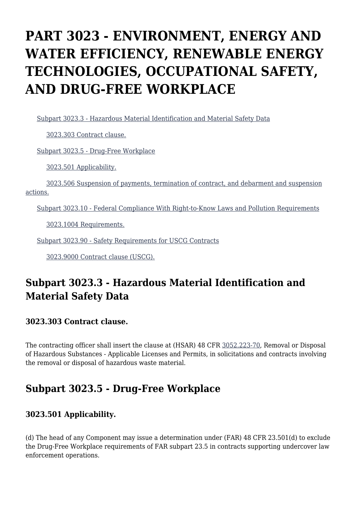# **PART 3023 - ENVIRONMENT, ENERGY AND WATER EFFICIENCY, RENEWABLE ENERGY TECHNOLOGIES, OCCUPATIONAL SAFETY, AND DRUG-FREE WORKPLACE**

[Subpart 3023.3 - Hazardous Material Identification and Material Safety Data](https://origin-www.acquisition.gov/%5Brp:link:hsar-part-3023%5D#Subpart_3023_3_T48_70211231)

[3023.303 Contract clause.](https://origin-www.acquisition.gov/%5Brp:link:hsar-part-3023%5D#Section_3023_303_T48_7021123111)

[Subpart 3023.5 - Drug-Free Workplace](https://origin-www.acquisition.gov/%5Brp:link:hsar-part-3023%5D#Subpart_3023_5_T48_70211232)

[3023.501 Applicability.](https://origin-www.acquisition.gov/%5Brp:link:hsar-part-3023%5D#Section_3023_501_T48_7021123211)

 [3023.506 Suspension of payments, termination of contract, and debarment and suspension](https://origin-www.acquisition.gov/%5Brp:link:hsar-part-3023%5D#Section_3023_506_T48_7021123212) [actions.](https://origin-www.acquisition.gov/%5Brp:link:hsar-part-3023%5D#Section_3023_506_T48_7021123212)

[Subpart 3023.10 - Federal Compliance With Right-to-Know Laws and Pollution Requirements](https://origin-www.acquisition.gov/%5Brp:link:hsar-part-3023%5D#Subpart_3023_10_T48_70211233)

[3023.1004 Requirements.](https://origin-www.acquisition.gov/%5Brp:link:hsar-part-3023%5D#Section_3023_1004_T48_7021123311)

[Subpart 3023.90 - Safety Requirements for USCG Contracts](https://origin-www.acquisition.gov/%5Brp:link:hsar-part-3023%5D#Subpart_3023_90_T48_70211234)

[3023.9000 Contract clause \(USCG\).](https://origin-www.acquisition.gov/%5Brp:link:hsar-part-3023%5D#Section_3023_9000_T48_7021123411)

# **Subpart 3023.3 - Hazardous Material Identification and Material Safety Data**

#### **3023.303 Contract clause.**

The contracting officer shall insert the clause at (HSAR) 48 CFR [3052.223-70,](https://origin-www.acquisition.gov/%5Brp:link:hsar-part-3052%5D#Section_3052_223_70_T48_70215512136) Removal or Disposal of Hazardous Substances - Applicable Licenses and Permits, in solicitations and contracts involving the removal or disposal of hazardous waste material.

### **Subpart 3023.5 - Drug-Free Workplace**

#### **3023.501 Applicability.**

(d) The head of any Component may issue a determination under (FAR) 48 CFR 23.501(d) to exclude the Drug-Free Workplace requirements of FAR subpart 23.5 in contracts supporting undercover law enforcement operations.